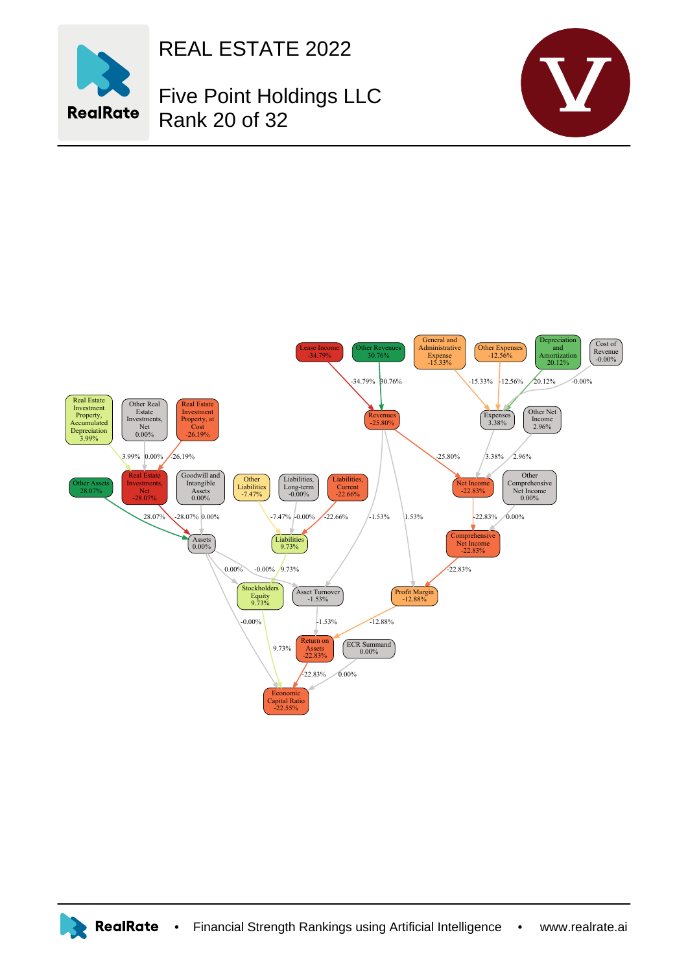

REAL ESTATE 2022

Five Point Holdings LLC Rank 20 of 32